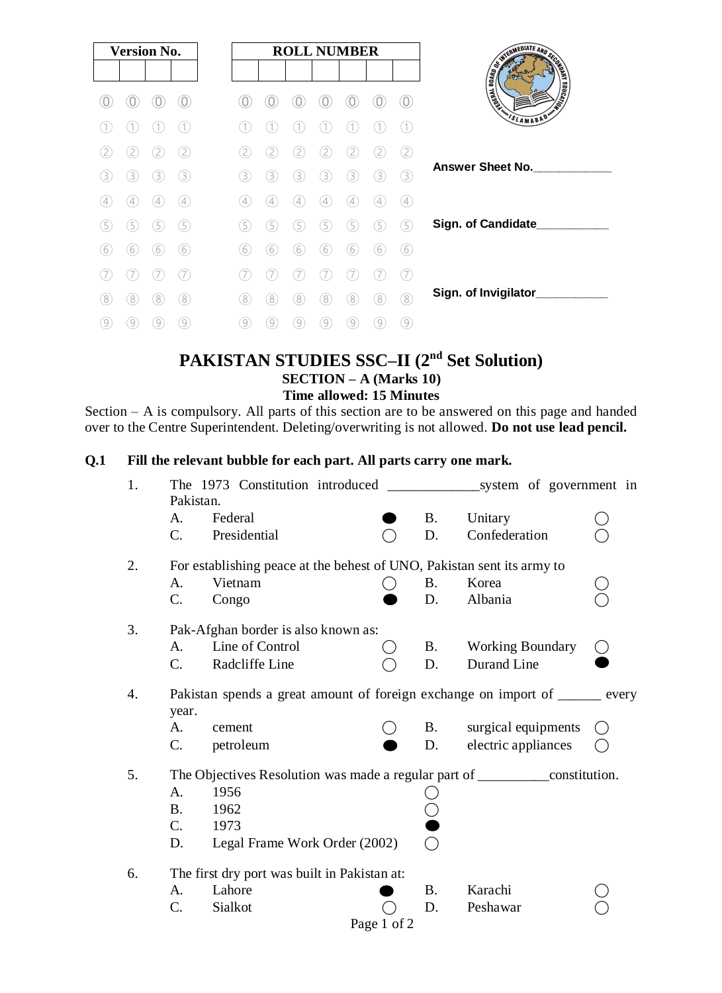| <b>Version No.</b> |                   |   |                   |
|--------------------|-------------------|---|-------------------|
|                    |                   |   |                   |
|                    |                   |   |                   |
|                    |                   |   |                   |
| 2                  |                   |   |                   |
| (3)                | 3                 | 3 | 3.                |
| $\left( 4\right)$  | $\left( 4\right)$ | 4 | (4)               |
| (5)                | (5)               | 5 | G)                |
| (6)                | (6)               | 6 | (6)               |
|                    |                   |   |                   |
| 8)                 | 8                 | 8 | (8)               |
| $\left( 9\right)$  | $\left( 9\right)$ | 9 | $\left( 9\right)$ |

# **PAKISTAN STUDIES SSC–II (2nd Set Solution) SECTION – A (Marks 10) Time allowed: 15 Minutes**

Section – A is compulsory. All parts of this section are to be answered on this page and handed over to the Centre Superintendent. Deleting/overwriting is not allowed. **Do not use lead pencil.**

# **Q.1 Fill the relevant bubble for each part. All parts carry one mark.**

| 1. | Pakistan.                                    |                                                                                |             |           |                            |  |
|----|----------------------------------------------|--------------------------------------------------------------------------------|-------------|-----------|----------------------------|--|
|    | A.                                           | Federal                                                                        |             | <b>B.</b> | Unitary                    |  |
|    | $C_{\cdot}$                                  | Presidential                                                                   |             | D.        | Confederation              |  |
| 2. |                                              | For establishing peace at the behest of UNO, Pakistan sent its army to         |             |           |                            |  |
|    | A.                                           | Vietnam                                                                        |             | <b>B.</b> | Korea                      |  |
|    | $\mathcal{C}$ .                              | Congo                                                                          |             | D.        | Albania                    |  |
| 3. |                                              | Pak-Afghan border is also known as:                                            |             |           |                            |  |
|    | A.                                           | Line of Control                                                                |             |           | <b>B.</b> Working Boundary |  |
|    | $C_{\cdot}$                                  | Radcliffe Line                                                                 |             | D.        | Durand Line                |  |
| 4. | year.                                        | Pakistan spends a great amount of foreign exchange on import of ______ every   |             |           |                            |  |
|    | A.                                           | cement                                                                         |             | <b>B.</b> | surgical equipments        |  |
|    | $\mathcal{C}$ .                              | petroleum                                                                      |             | D.        | electric appliances        |  |
| 5. |                                              | The Objectives Resolution was made a regular part of ____________constitution. |             |           |                            |  |
|    | $A_{\cdot}$                                  | 1956                                                                           |             |           |                            |  |
|    | <b>B.</b>                                    | 1962                                                                           |             |           |                            |  |
|    | $\mathcal{C}$ .                              | 1973                                                                           |             |           |                            |  |
|    | D.                                           | Legal Frame Work Order (2002)                                                  |             |           |                            |  |
| 6. | The first dry port was built in Pakistan at: |                                                                                |             |           |                            |  |
|    | A.                                           | Lahore                                                                         |             | <b>B.</b> | Karachi                    |  |
|    | C.                                           | Sialkot                                                                        |             | D.        | Peshawar                   |  |
|    |                                              |                                                                                | Page 1 of 2 |           |                            |  |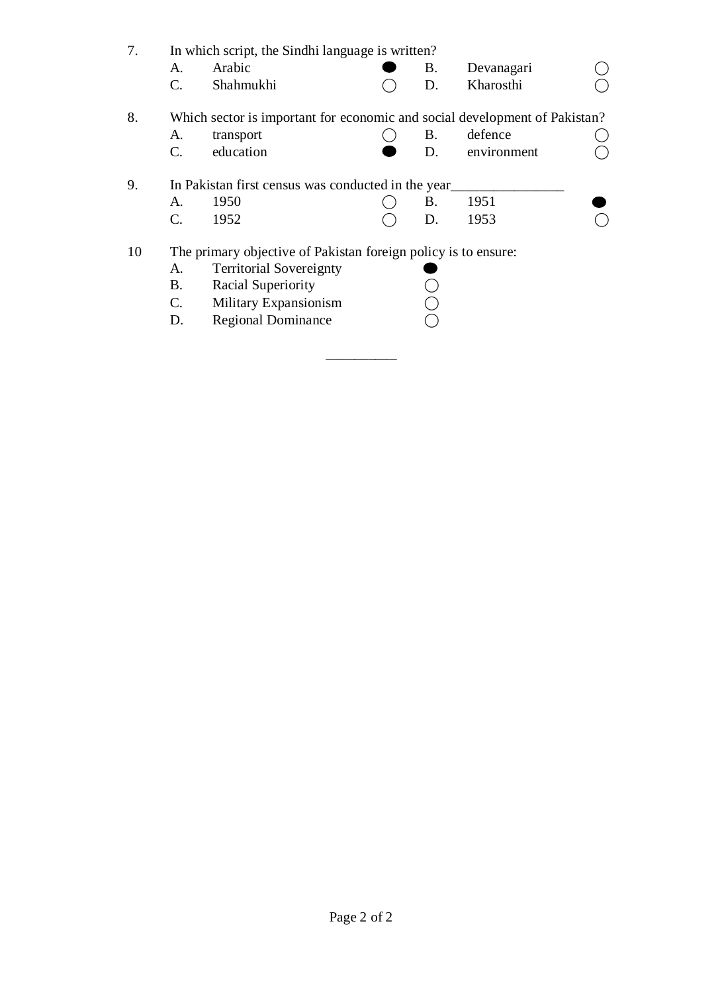| 7. | In which script, the Sindhi language is written? |                                                                            |  |    |             |  |  |  |
|----|--------------------------------------------------|----------------------------------------------------------------------------|--|----|-------------|--|--|--|
|    | A.                                               | Arabic                                                                     |  | Β. | Devanagari  |  |  |  |
|    | $\mathbf{C}$ .                                   | Shahmukhi                                                                  |  | D. | Kharosthi   |  |  |  |
| 8. |                                                  | Which sector is important for economic and social development of Pakistan? |  |    |             |  |  |  |
|    | A.                                               | transport                                                                  |  | В. | defence     |  |  |  |
|    | C.                                               | education                                                                  |  | D. | environment |  |  |  |
| 9. |                                                  | In Pakistan first census was conducted in the year                         |  |    |             |  |  |  |
|    | A.                                               | 1950                                                                       |  | В. | 1951        |  |  |  |
|    | C.                                               | 1952                                                                       |  | D. | 1953        |  |  |  |
| 10 |                                                  | The primary objective of Pakistan foreign policy is to ensure:             |  |    |             |  |  |  |
|    | A.                                               | <b>Territorial Sovereignty</b>                                             |  |    |             |  |  |  |
|    | <b>B.</b>                                        | Racial Superiority                                                         |  |    |             |  |  |  |
|    | $\mathbf{C}$ .                                   | Military Expansionism                                                      |  |    |             |  |  |  |
|    | D.                                               | <b>Regional Dominance</b>                                                  |  |    |             |  |  |  |
|    |                                                  |                                                                            |  |    |             |  |  |  |
|    |                                                  |                                                                            |  |    |             |  |  |  |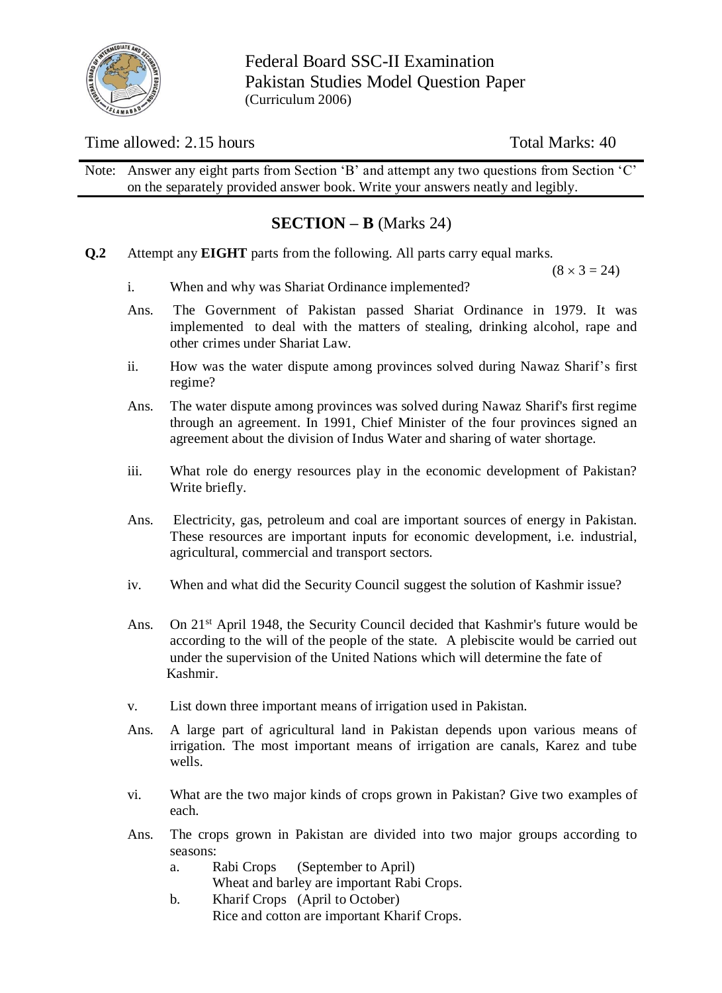

Federal Board SSC-II Examination Pakistan Studies Model Question Paper (Curriculum 2006)

# Time allowed: 2.15 hours Total Marks: 40

Note: Answer any eight parts from Section 'B' and attempt any two questions from Section 'C' on the separately provided answer book. Write your answers neatly and legibly.

# **SECTION – B** (Marks 24)

**Q.2** Attempt any **EIGHT** parts from the following. All parts carry equal marks.

 $(8 \times 3 = 24)$ 

- i. When and why was Shariat Ordinance implemented?
- Ans. The Government of Pakistan passed Shariat Ordinance in 1979. It was implemented to deal with the matters of stealing, drinking alcohol, rape and other crimes under Shariat Law.
- ii. How was the water dispute among provinces solved during Nawaz Sharif's first regime?
- Ans. The water dispute among provinces was solved during Nawaz Sharif's first regime through an agreement. In 1991, Chief Minister of the four provinces signed an agreement about the division of Indus Water and sharing of water shortage.
- iii. What role do energy resources play in the economic development of Pakistan? Write briefly.
- Ans. Electricity, gas, petroleum and coal are important sources of energy in Pakistan. These resources are important inputs for economic development, i.e. industrial, agricultural, commercial and transport sectors.
- iv. When and what did the Security Council suggest the solution of Kashmir issue?
- Ans. On 21<sup>st</sup> April 1948, the Security Council decided that Kashmir's future would be according to the will of the people of the state. A plebiscite would be carried out under the supervision of the United Nations which will determine the fate of Kashmir.
- v. List down three important means of irrigation used in Pakistan.
- Ans. A large part of agricultural land in Pakistan depends upon various means of irrigation. The most important means of irrigation are canals, Karez and tube wells.
- vi. What are the two major kinds of crops grown in Pakistan? Give two examples of each.
- Ans. The crops grown in Pakistan are divided into two major groups according to seasons:
	- a. Rabi Crops (September to April) Wheat and barley are important Rabi Crops.
		-
	- b. Kharif Crops (April to October) Rice and cotton are important Kharif Crops.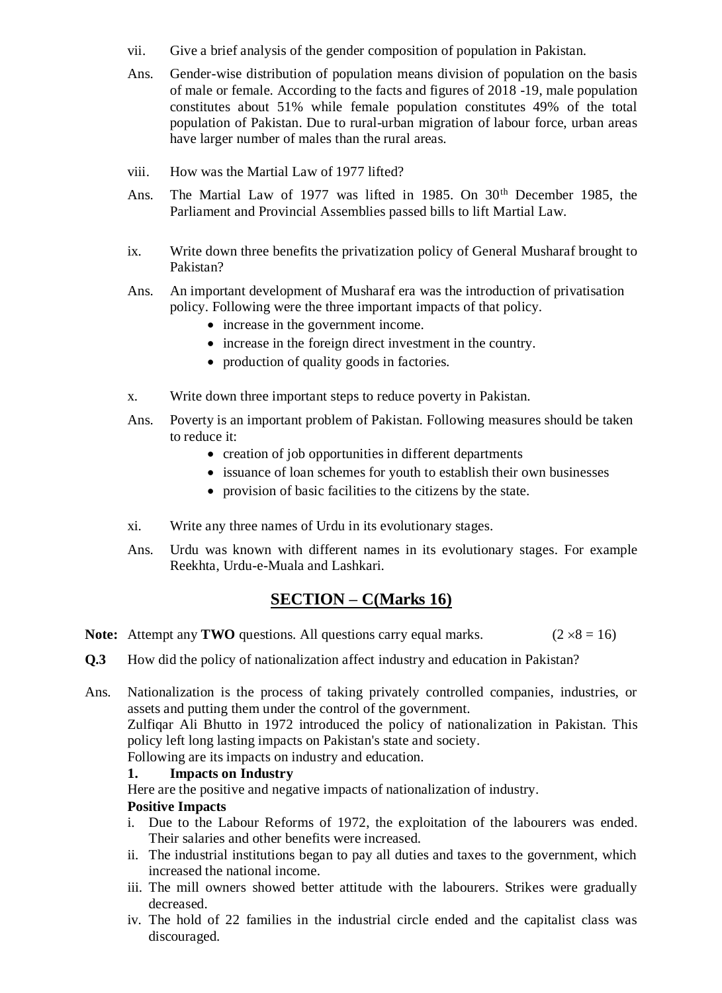- vii. Give a brief analysis of the gender composition of population in Pakistan.
- Ans. Gender-wise distribution of population means division of population on the basis of male or female. According to the facts and figures of 2018 -19, male population constitutes about 51% while female population constitutes 49% of the total population of Pakistan. Due to rural-urban migration of labour force, urban areas have larger number of males than the rural areas.
- viii. How was the Martial Law of 1977 lifted?
- Ans. The Martial Law of 1977 was lifted in 1985. On 30th December 1985, the Parliament and Provincial Assemblies passed bills to lift Martial Law.
- ix. Write down three benefits the privatization policy of General Musharaf brought to Pakistan?
- Ans. An important development of Musharaf era was the introduction of privatisation policy. Following were the three important impacts of that policy.
	- increase in the government income.
	- increase in the foreign direct investment in the country.
	- production of quality goods in factories.
- x. Write down three important steps to reduce poverty in Pakistan.
- Ans. Poverty is an important problem of Pakistan. Following measures should be taken to reduce it:
	- creation of job opportunities in different departments
	- issuance of loan schemes for youth to establish their own businesses
	- provision of basic facilities to the citizens by the state.
- xi. Write any three names of Urdu in its evolutionary stages.
- Ans. Urdu was known with different names in its evolutionary stages. For example Reekhta, Urdu-e-Muala and Lashkari.

# **SECTION – C(Marks 16)**

- **Note:** Attempt any **TWO** questions. All questions carry equal marks. ( $2 \times 8 = 16$ )
- **Q.3** How did the policy of nationalization affect industry and education in Pakistan?
- Ans. Nationalization is the process of taking privately controlled companies, industries, or assets and putting them under the control of the government.

Zulfiqar Ali Bhutto in 1972 introduced the policy of nationalization in Pakistan. This policy left long lasting impacts on Pakistan's state and society.

Following are its impacts on industry and education.

### **1. Impacts on Industry**

Here are the positive and negative impacts of nationalization of industry. **Positive Impacts**

- i. Due to the Labour Reforms of 1972, the exploitation of the labourers was ended. Their salaries and other benefits were increased.
- ii. The industrial institutions began to pay all duties and taxes to the government, which increased the national income.
- iii. The mill owners showed better attitude with the labourers. Strikes were gradually decreased.
- iv. The hold of 22 families in the industrial circle ended and the capitalist class was discouraged.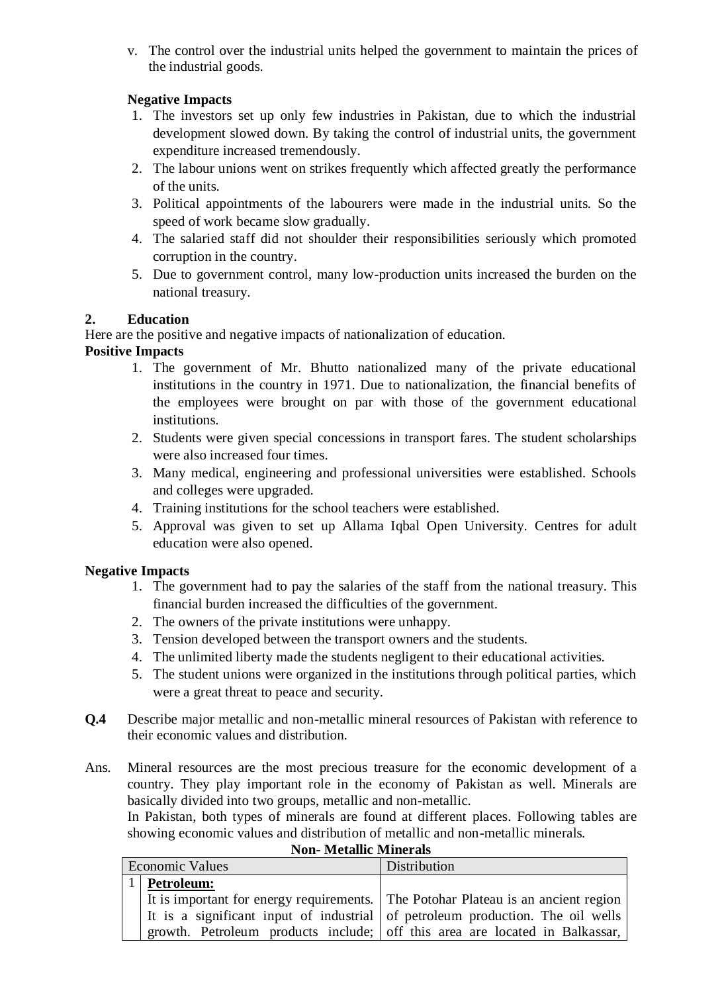v. The control over the industrial units helped the government to maintain the prices of the industrial goods.

## **Negative Impacts**

- 1. The investors set up only few industries in Pakistan, due to which the industrial development slowed down. By taking the control of industrial units, the government expenditure increased tremendously.
- 2. The labour unions went on strikes frequently which affected greatly the performance of the units.
- 3. Political appointments of the labourers were made in the industrial units. So the speed of work became slow gradually.
- 4. The salaried staff did not shoulder their responsibilities seriously which promoted corruption in the country.
- 5. Due to government control, many low-production units increased the burden on the national treasury.

## **2. Education**

Here are the positive and negative impacts of nationalization of education.

## **Positive Impacts**

- 1. The government of Mr. Bhutto nationalized many of the private educational institutions in the country in 1971. Due to nationalization, the financial benefits of the employees were brought on par with those of the government educational institutions.
- 2. Students were given special concessions in transport fares. The student scholarships were also increased four times.
- 3. Many medical, engineering and professional universities were established. Schools and colleges were upgraded.
- 4. Training institutions for the school teachers were established.
- 5. Approval was given to set up Allama Iqbal Open University. Centres for adult education were also opened.

## **Negative Impacts**

- 1. The government had to pay the salaries of the staff from the national treasury. This financial burden increased the difficulties of the government.
- 2. The owners of the private institutions were unhappy.
- 3. Tension developed between the transport owners and the students.
- 4. The unlimited liberty made the students negligent to their educational activities.
- 5. The student unions were organized in the institutions through political parties, which were a great threat to peace and security.
- **Q.4** Describe major metallic and non-metallic mineral resources of Pakistan with reference to their economic values and distribution.
- Ans. Mineral resources are the most precious treasure for the economic development of a country. They play important role in the economy of Pakistan as well. Minerals are basically divided into two groups, metallic and non-metallic.

**Non- Metallic Minerals**

In Pakistan, both types of minerals are found at different places. Following tables are showing economic values and distribution of metallic and non-metallic minerals.

| <b>Economic Values</b> | Distribution                                                                      |  |  |
|------------------------|-----------------------------------------------------------------------------------|--|--|
| Petroleum:             |                                                                                   |  |  |
|                        | It is important for energy requirements. The Potohar Plateau is an ancient region |  |  |
|                        | It is a significant input of industrial of petroleum production. The oil wells    |  |  |
|                        | growth. Petroleum products include; off this area are located in Balkassar,       |  |  |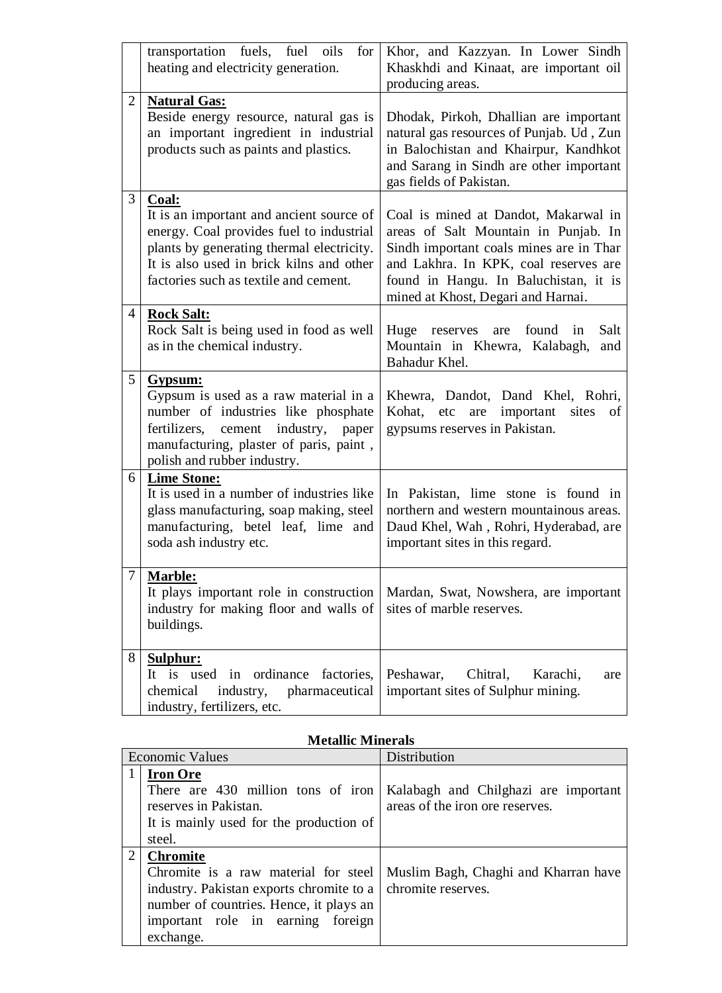|                | transportation fuels, fuel<br>oils<br>for<br>heating and electricity generation.                                                                                                                                                | Khor, and Kazzyan. In Lower Sindh<br>Khaskhdi and Kinaat, are important oil<br>producing areas.                                                                                                                                                 |
|----------------|---------------------------------------------------------------------------------------------------------------------------------------------------------------------------------------------------------------------------------|-------------------------------------------------------------------------------------------------------------------------------------------------------------------------------------------------------------------------------------------------|
| $\overline{2}$ | <b>Natural Gas:</b><br>Beside energy resource, natural gas is<br>an important ingredient in industrial<br>products such as paints and plastics.                                                                                 | Dhodak, Pirkoh, Dhallian are important<br>natural gas resources of Punjab. Ud, Zun<br>in Balochistan and Khairpur, Kandhkot<br>and Sarang in Sindh are other important<br>gas fields of Pakistan.                                               |
| 3              | Coal:<br>It is an important and ancient source of<br>energy. Coal provides fuel to industrial<br>plants by generating thermal electricity.<br>It is also used in brick kilns and other<br>factories such as textile and cement. | Coal is mined at Dandot, Makarwal in<br>areas of Salt Mountain in Punjab. In<br>Sindh important coals mines are in Thar<br>and Lakhra. In KPK, coal reserves are<br>found in Hangu. In Baluchistan, it is<br>mined at Khost, Degari and Harnai. |
| $\overline{4}$ | <b>Rock Salt:</b><br>Rock Salt is being used in food as well<br>as in the chemical industry.                                                                                                                                    | Salt<br>found<br>Huge<br>reserves are<br>in<br>Mountain in Khewra, Kalabagh,<br>and<br>Bahadur Khel.                                                                                                                                            |
| 5              | Gypsum:<br>Gypsum is used as a raw material in a<br>number of industries like phosphate<br>fertilizers,<br>cement industry,<br>paper<br>manufacturing, plaster of paris, paint,<br>polish and rubber industry.                  | Khewra, Dandot, Dand Khel, Rohri,<br>important<br>Kohat, etc<br>sites<br>are<br>of<br>gypsums reserves in Pakistan.                                                                                                                             |
| 6              | <b>Lime Stone:</b><br>It is used in a number of industries like<br>glass manufacturing, soap making, steel<br>manufacturing, betel leaf, lime and<br>soda ash industry etc.                                                     | In Pakistan, lime stone is found in<br>northern and western mountainous areas.<br>Daud Khel, Wah, Rohri, Hyderabad, are<br>important sites in this regard.                                                                                      |
| 7              | Marble:<br>It plays important role in construction<br>industry for making floor and walls of<br>buildings.                                                                                                                      | Mardan, Swat, Nowshera, are important<br>sites of marble reserves.                                                                                                                                                                              |
| 8              | <b>Sulphur:</b><br>It is used in ordinance<br>factories,<br>pharmaceutical<br>chemical<br>industry,<br>industry, fertilizers, etc.                                                                                              | Peshawar,<br>Chitral,<br>Karachi,<br>are<br>important sites of Sulphur mining.                                                                                                                                                                  |

## **Metallic Minerals**

|   | <b>Economic Values</b>                                                                                                                                                                           | Distribution                                                            |  |
|---|--------------------------------------------------------------------------------------------------------------------------------------------------------------------------------------------------|-------------------------------------------------------------------------|--|
|   | <b>Iron Ore</b><br>There are $430$ million tons of iron<br>reserves in Pakistan.<br>It is mainly used for the production of<br>steel.                                                            | Kalabagh and Chilghazi are important<br>areas of the iron ore reserves. |  |
| 2 | <b>Chromite</b><br>Chromite is a raw material for steel<br>industry. Pakistan exports chromite to a<br>number of countries. Hence, it plays an<br>important role in earning foreign<br>exchange. | Muslim Bagh, Chaghi and Kharran have<br>chromite reserves.              |  |